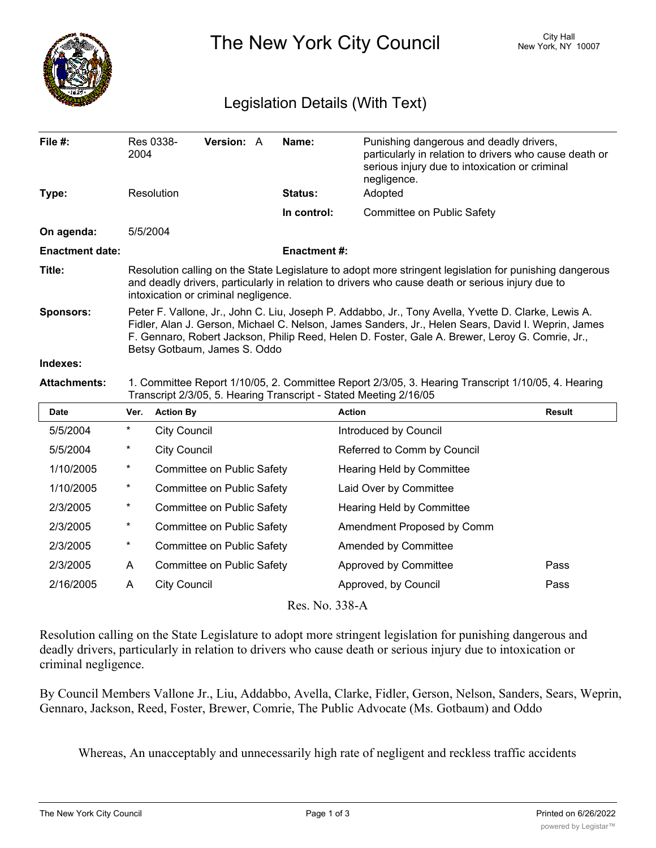

The New York City Council New York, NY 10007

## Legislation Details (With Text)

| File $#$ :             | Res 0338-<br>2004                                                                                                                                                                                                                                                                                                                            | <b>Version: A</b> |  | Name:              | Punishing dangerous and deadly drivers,<br>particularly in relation to drivers who cause death or<br>serious injury due to intoxication or criminal<br>negligence. |  |  |
|------------------------|----------------------------------------------------------------------------------------------------------------------------------------------------------------------------------------------------------------------------------------------------------------------------------------------------------------------------------------------|-------------------|--|--------------------|--------------------------------------------------------------------------------------------------------------------------------------------------------------------|--|--|
| Type:                  | Resolution                                                                                                                                                                                                                                                                                                                                   |                   |  | <b>Status:</b>     | Adopted                                                                                                                                                            |  |  |
|                        |                                                                                                                                                                                                                                                                                                                                              |                   |  | In control:        | Committee on Public Safety                                                                                                                                         |  |  |
| On agenda:             | 5/5/2004                                                                                                                                                                                                                                                                                                                                     |                   |  |                    |                                                                                                                                                                    |  |  |
| <b>Enactment date:</b> |                                                                                                                                                                                                                                                                                                                                              |                   |  | <b>Enactment#:</b> |                                                                                                                                                                    |  |  |
| Title:                 | Resolution calling on the State Legislature to adopt more stringent legislation for punishing dangerous<br>and deadly drivers, particularly in relation to drivers who cause death or serious injury due to<br>intoxication or criminal negligence.                                                                                          |                   |  |                    |                                                                                                                                                                    |  |  |
| <b>Sponsors:</b>       | Peter F. Vallone, Jr., John C. Liu, Joseph P. Addabbo, Jr., Tony Avella, Yvette D. Clarke, Lewis A.<br>Fidler, Alan J. Gerson, Michael C. Nelson, James Sanders, Jr., Helen Sears, David I. Weprin, James<br>F. Gennaro, Robert Jackson, Philip Reed, Helen D. Foster, Gale A. Brewer, Leroy G. Comrie, Jr.,<br>Betsy Gotbaum, James S. Oddo |                   |  |                    |                                                                                                                                                                    |  |  |
| Indexes:               |                                                                                                                                                                                                                                                                                                                                              |                   |  |                    |                                                                                                                                                                    |  |  |
| <b>Attachments:</b>    | 1. Committee Report 1/10/05, 2. Committee Report 2/3/05, 3. Hearing Transcript 1/10/05, 4. Hearing<br>Transcript 2/3/05, 5. Hearing Transcript - Stated Meeting 2/16/05                                                                                                                                                                      |                   |  |                    |                                                                                                                                                                    |  |  |

| <b>Date</b> | Ver. | <b>Action By</b>           | <b>Action</b>               | <b>Result</b> |
|-------------|------|----------------------------|-----------------------------|---------------|
| 5/5/2004    | *    | <b>City Council</b>        | Introduced by Council       |               |
| 5/5/2004    | *    | <b>City Council</b>        | Referred to Comm by Council |               |
| 1/10/2005   | *    | Committee on Public Safety | Hearing Held by Committee   |               |
| 1/10/2005   | *    | Committee on Public Safety | Laid Over by Committee      |               |
| 2/3/2005    | *    | Committee on Public Safety | Hearing Held by Committee   |               |
| 2/3/2005    | *    | Committee on Public Safety | Amendment Proposed by Comm  |               |
| 2/3/2005    | *    | Committee on Public Safety | Amended by Committee        |               |
| 2/3/2005    | A    | Committee on Public Safety | Approved by Committee       | Pass          |
| 2/16/2005   | A    | <b>City Council</b>        | Approved, by Council        | Pass          |
|             |      |                            |                             |               |

Res. No. 338-A

Resolution calling on the State Legislature to adopt more stringent legislation for punishing dangerous and deadly drivers, particularly in relation to drivers who cause death or serious injury due to intoxication or criminal negligence.

By Council Members Vallone Jr., Liu, Addabbo, Avella, Clarke, Fidler, Gerson, Nelson, Sanders, Sears, Weprin, Gennaro, Jackson, Reed, Foster, Brewer, Comrie, The Public Advocate (Ms. Gotbaum) and Oddo

Whereas, An unacceptably and unnecessarily high rate of negligent and reckless traffic accidents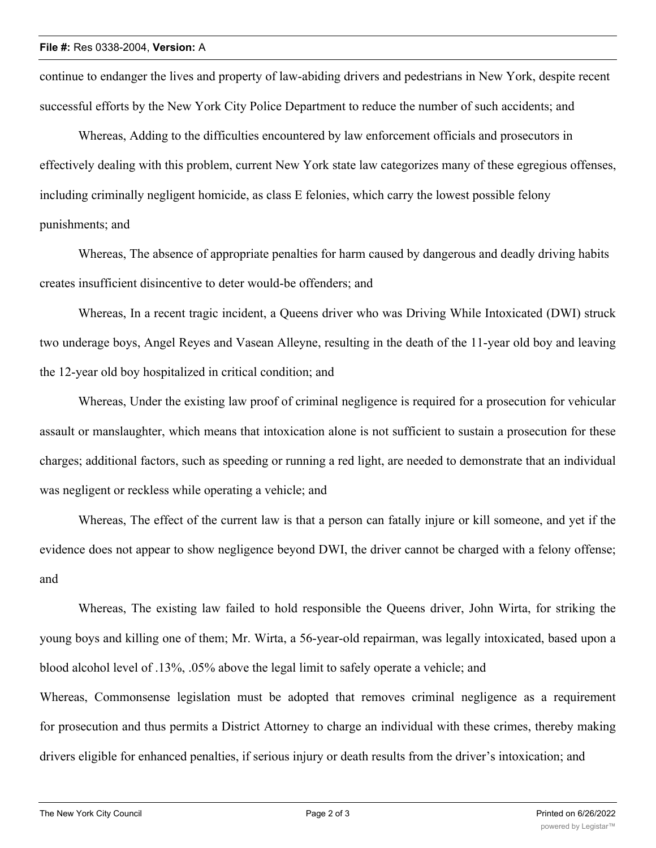continue to endanger the lives and property of law-abiding drivers and pedestrians in New York, despite recent successful efforts by the New York City Police Department to reduce the number of such accidents; and

Whereas, Adding to the difficulties encountered by law enforcement officials and prosecutors in effectively dealing with this problem, current New York state law categorizes many of these egregious offenses, including criminally negligent homicide, as class E felonies, which carry the lowest possible felony punishments; and

Whereas, The absence of appropriate penalties for harm caused by dangerous and deadly driving habits creates insufficient disincentive to deter would-be offenders; and

Whereas, In a recent tragic incident, a Queens driver who was Driving While Intoxicated (DWI) struck two underage boys, Angel Reyes and Vasean Alleyne, resulting in the death of the 11-year old boy and leaving the 12-year old boy hospitalized in critical condition; and

Whereas, Under the existing law proof of criminal negligence is required for a prosecution for vehicular assault or manslaughter, which means that intoxication alone is not sufficient to sustain a prosecution for these charges; additional factors, such as speeding or running a red light, are needed to demonstrate that an individual was negligent or reckless while operating a vehicle; and

Whereas, The effect of the current law is that a person can fatally injure or kill someone, and yet if the evidence does not appear to show negligence beyond DWI, the driver cannot be charged with a felony offense; and

Whereas, The existing law failed to hold responsible the Queens driver, John Wirta, for striking the young boys and killing one of them; Mr. Wirta, a 56-year-old repairman, was legally intoxicated, based upon a blood alcohol level of .13%, .05% above the legal limit to safely operate a vehicle; and Whereas, Commonsense legislation must be adopted that removes criminal negligence as a requirement for prosecution and thus permits a District Attorney to charge an individual with these crimes, thereby making drivers eligible for enhanced penalties, if serious injury or death results from the driver's intoxication; and